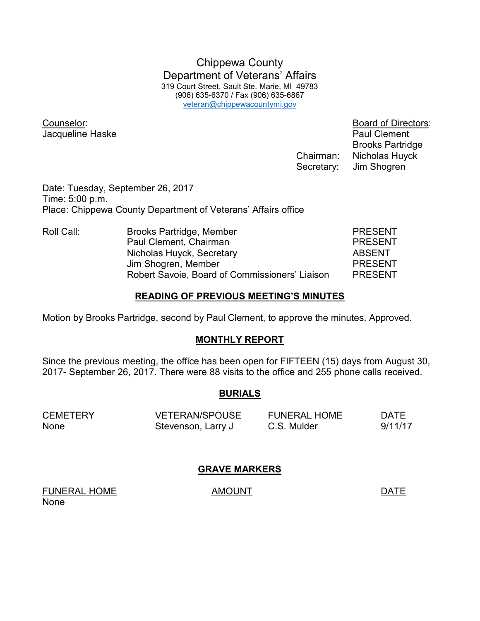Chippewa County Department of Veterans' Affairs 319 Court Street, Sault Ste. Marie, MI 49783 (906) 635-6370 / Fax (906) 635-6867 veteran@chippewacountymi.gov

Jacqueline Haske **Paul Clement** 

Counselor: Board of Directors: Brooks Partridge Chairman: Nicholas Huyck Secretary: Jim Shogren

Date: Tuesday, September 26, 2017 Time: 5:00 p.m. Place: Chippewa County Department of Veterans' Affairs office

Roll Call: Brooks Partridge, Member PRESENT Paul Clement, Chairman **PRESENT** Nicholas Huyck, Secretary **ABSENT**  Jim Shogren, Member PRESENT Robert Savoie, Board of Commissioners' Liaison PRESENT

#### **READING OF PREVIOUS MEETING'S MINUTES**

Motion by Brooks Partridge, second by Paul Clement, to approve the minutes. Approved.

## **MONTHLY REPORT**

Since the previous meeting, the office has been open for FIFTEEN (15) days from August 30, 2017- September 26, 2017. There were 88 visits to the office and 255 phone calls received.

## **BURIALS**

| <b>CEMETERY</b> | <b>VETERAN/SPOUSE</b> | <b>FUNERAL HOME</b> | <b>DATE</b> |
|-----------------|-----------------------|---------------------|-------------|
| None            | Stevenson, Larry J    | C.S. Mulder         | 9/11/17     |

#### **GRAVE MARKERS**

FUNERAL HOME AMOUNT AMOUNT DATE None